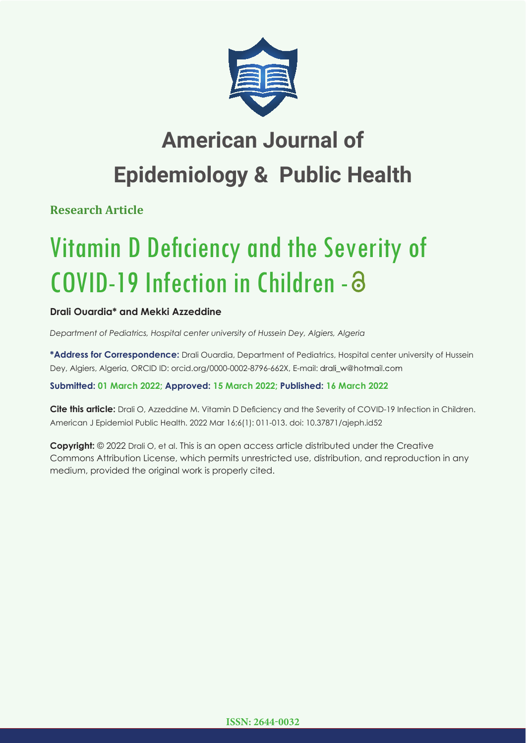

## **American Journal of Epidemiology & Public Health**

**Research Article**

# Vitamin D Deficiency and the Severity of COVID-19 Infection in Children -

## **Drali Ouardia\* and Mekki Azzeddine**

*Department of Pediatrics, Hospital center university of Hussein Dey, Algiers, Algeria*

**\*Address for Correspondence:** Drali Ouardia, Department of Pediatrics, Hospital center university of Hussein Dey, Algiers, Algeria, ORCID ID: orcid.org/0000-0002-8796-662X, E-mail: drali\_w@hotmail.com

### **Submitted: 01 March 2022; Approved: 15 March 2022; Published: 16 March 2022**

**Cite this article:** Drali O, Azzeddine M. Vitamin D Deficiency and the Severity of COVID-19 Infection in Children. American J Epidemiol Public Health. 2022 Mar 16;6(1): 011-013. doi: 10.37871/ajeph.id52

**Copyright:** © 2022 Drali O, et al. This is an open access article distributed under the Creative Commons Attribution License, which permits unrestricted use, distribution, and reproduction in any medium, provided the original work is properly cited.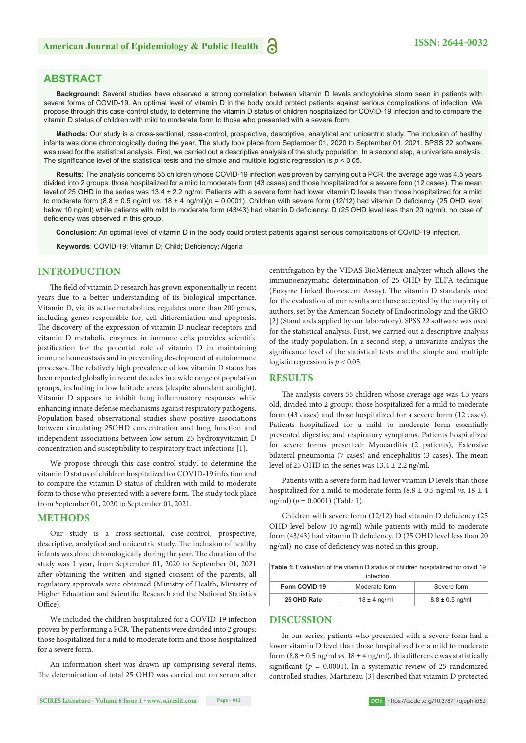#### **ABSTRACT**

**Background:** Several studies have observed a strong correlation between vitamin D levels and cytokine storm seen in patients with severe forms of COVID-19. An optimal level of vitamin D in the body could protect patients against serious complications of infection. We propose through this case-control study, to determine the vitamin D status of children hospitalized for COVID-19 infection and to compare the vitamin D status of children with mild to moderate form to those who presented with a severe form.

**Methods:** Our study is a cross-sectional, case-control, prospective, descriptive, analytical and unicentric study. The inclusion of healthy infants was done chronologically during the year. The study took place from September 01, 2020 to September 01, 2021. SPSS 22 software was used for the statistical analysis. First, we carried out a descriptive analysis of the study population. In a second step, a univariate analysis. The significance level of the statistical tests and the simple and multiple logistic regression is  $p < 0.05$ .

**Results:** The analysis concerns 55 children whose COVID-19 infection was proven by carrying out a PCR, the average age was 4.5 years divided into 2 groups: those hospitalized for a mild to moderate form (43 cases) and those hospitalized for a severe form (12 cases). The mean level of 25 OHD in the series was 13.4 ± 2.2 ng/ml. Patients with a severe form had lower vitamin D levels than those hospitalized for a mild to moderate form  $(8.8 \pm 0.5 \text{ rad/m} \text{ vs. } 18 \pm 4 \text{ ng/m})$  $(p = 0.0001)$ . Children with severe form  $(12/12)$  had vitamin D deficiency (25 OHD level below 10 ng/ml) while patients with mild to moderate form (43/43) had vitamin D deficiency. D (25 OHD level less than 20 ng/ml), no case of deficiency was observed in this group.

**Conclusion:** An optimal level of vitamin D in the body could protect patients against serious complications of COVID-19 infection.

Keywords: COVID-19; Vitamin D; Child; Deficiency; Algeria

#### **INTRODUCTION**

The field of vitamin D research has grown exponentially in recent years due to a better understanding of its biological importance. Vitamin D, via its active metabolites, regulates more than 200 genes, including genes responsible for, cell differentiation and apoptosis. The discovery of the expression of vitamin D nuclear receptors and vitamin D metabolic enzymes in immune cells provides scientific justification for the potential role of vitamin D in maintaining immune homeostasis and in preventing development of autoimmune processes. The relatively high prevalence of low vitamin D status has been reported globally in recent decades in a wide range of population groups, including in low latitude areas (despite abundant sunlight). Vitamin D appears to inhibit lung inflammatory responses while enhancing innate defense mechanisms against respiratory pathogens. Population-based observational studies show positive associations between circulating 25OHD concentration and lung function and independent associations between low serum 25-hydroxyvitamin D concentration and susceptibility to respiratory tract infections [1].

We propose through this case-control study, to determine the vitamin D status of children hospitalized for COVID-19 infection and to compare the vitamin D status of children with mild to moderate form to those who presented with a severe form. The study took place from September 01, 2020 to September 01, 2021.

#### **METHODS**

Our study is a cross-sectional, case-control, prospective, descriptive, analytical and unicentric study. The inclusion of healthy infants was done chronologically during the year. The duration of the study was 1 year, from September 01, 2020 to September 01, 2021 after obtaining the written and signed consent of the parents, all regulatory approvals were obtained (Ministry of Health, Ministry of Higher Education and Scientific Research and the National Statistics Office).

We included the children hospitalized for a COVID-19 infection proven by performing a PCR. The patients were divided into 2 groups: those hospitalized for a mild to moderate form and those hospitalized for a severe form.

An information sheet was drawn up comprising several items. The determination of total 25 OHD was carried out on serum after

centrifugation by the VIDAS BioMérieux analyzer which allows the immunoenzymatic determination of 25 OHD by ELFA technique (Enzyme Linked fluorescent Assay). The vitamin D standards used for the evaluation of our results are those accepted by the majority of authors, set by the American Society of Endocrinology and the GRIO [2] (Stand ards applied by our laboratory). SPSS 22 software was used for the statistical analysis. First, we carried out a descriptive analysis of the study population. In a second step, a univariate analysis the significance level of the statistical tests and the simple and multiple logistic regression is  $p < 0.05$ .

#### **RESULTS**

The analysis covers 55 children whose average age was 4.5 years old, divided into 2 groups: those hospitalized for a mild to moderate form (43 cases) and those hospitalized for a severe form (12 cases). Patients hospitalized for a mild to moderate form essentially presented digestive and respiratory symptoms. Patients hospitalized for severe forms presented: Myocarditis (2 patients), Extensive bilateral pneumonia (7 cases) and encephalitis (3 cases). The mean level of 25 OHD in the series was  $13.4 \pm 2.2$  ng/ml.

Patients with a severe form had lower vitamin D levels than those hospitalized for a mild to moderate form  $(8.8 \pm 0.5 \text{ ng/ml } vs. 18 \pm 4$ ng/ml) (*p* = 0.0001) (Table 1).

Children with severe form  $(12/12)$  had vitamin D deficiency  $(25$ OHD level below 10 ng/ml) while patients with mild to moderate form (43/43) had vitamin D deficiency. D (25 OHD level less than 20 ng/ml), no case of deficiency was noted in this group.

| <b>Table 1:</b> Evaluation of the vitamin D status of children hospitalized for covid 19<br>infection. |                  |                     |
|--------------------------------------------------------------------------------------------------------|------------------|---------------------|
| Form COVID 19                                                                                          | Moderate form    | Severe form         |
| 25 OHD Rate                                                                                            | $18 \pm 4$ ng/ml | $8.8 \pm 0.5$ ng/ml |

#### **DISCUSSION**

In our series, patients who presented with a severe form had a lower vitamin D level than those hospitalized for a mild to moderate form  $(8.8 \pm 0.5 \text{ ng/ml } v\text{s}$ .  $18 \pm 4 \text{ ng/ml}$ , this difference was statistically significant ( $p = 0.0001$ ). In a systematic review of 25 randomized controlled studies, Martineau [3] described that vitamin D protected